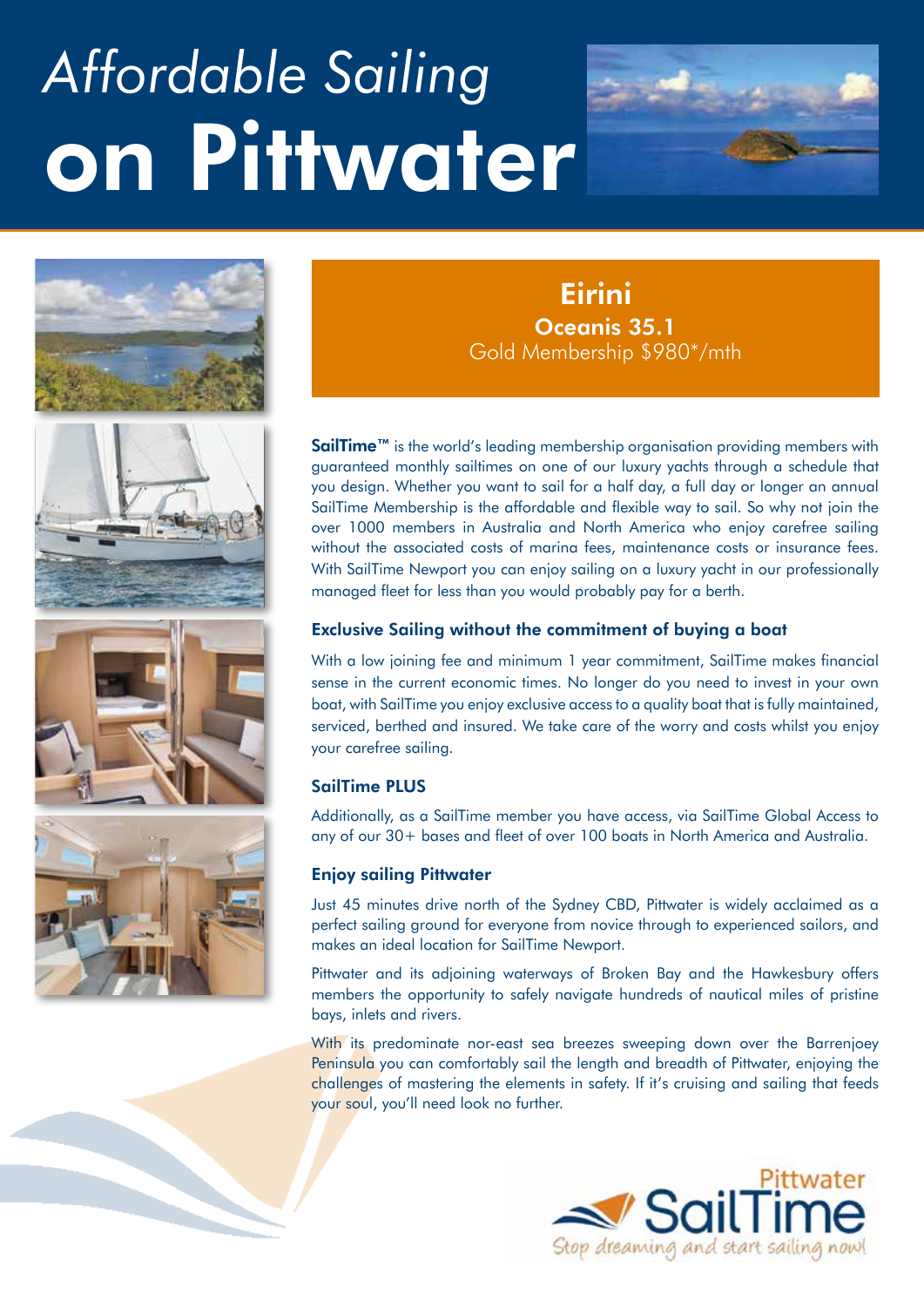# *Affordable Sailing* on Pittwater







### Oceanis 35.1 Gold Membership \$980\*/mth **Eirini**

SailTime<sup>™</sup> is the world's leading membership organisation providing members with guaranteed monthly sailtimes on one of our luxury yachts through a schedule that you design. Whether you want to sail for a half day, a full day or longer an annual SailTime Membership is the affordable and flexible way to sail. So why not join the over 1000 members in Australia and North America who enjoy carefree sailing without the associated costs of marina fees, maintenance costs or insurance fees. With SailTime Newport you can enjoy sailing on a luxury yacht in our professionally managed fleet for less than you would probably pay for a berth.

#### Exclusive Sailing without the commitment of buying a boat

With a low joining fee and minimum 1 year commitment, SailTime makes financial sense in the current economic times. No longer do you need to invest in your own boat, with SailTime you enjoy exclusive access to a quality boat that is fully maintained, serviced, berthed and insured. We take care of the worry and costs whilst you enjoy your carefree sailing.

#### SailTime PLUS

Additionally, as a SailTime member you have access, via SailTime Global Access to any of our 30+ bases and fleet of over 100 boats in North America and Australia.

#### Enjoy sailing Pittwater

Just 45 minutes drive north of the Sydney CBD, Pittwater is widely acclaimed as a perfect sailing ground for everyone from novice through to experienced sailors, and makes an ideal location for SailTime Newport.

Pittwater and its adjoining waterways of Broken Bay and the Hawkesbury offers members the opportunity to safely navigate hundreds of nautical miles of pristine bays, inlets and rivers.

With its predominate nor-east sea breezes sweeping down over the Barrenjoey Peninsula you can comfortably sail the length and breadth of Pittwater, enjoying the challenges of mastering the elements in safety. If it's cruising and sailing that feeds your soul, you'll need look no further.